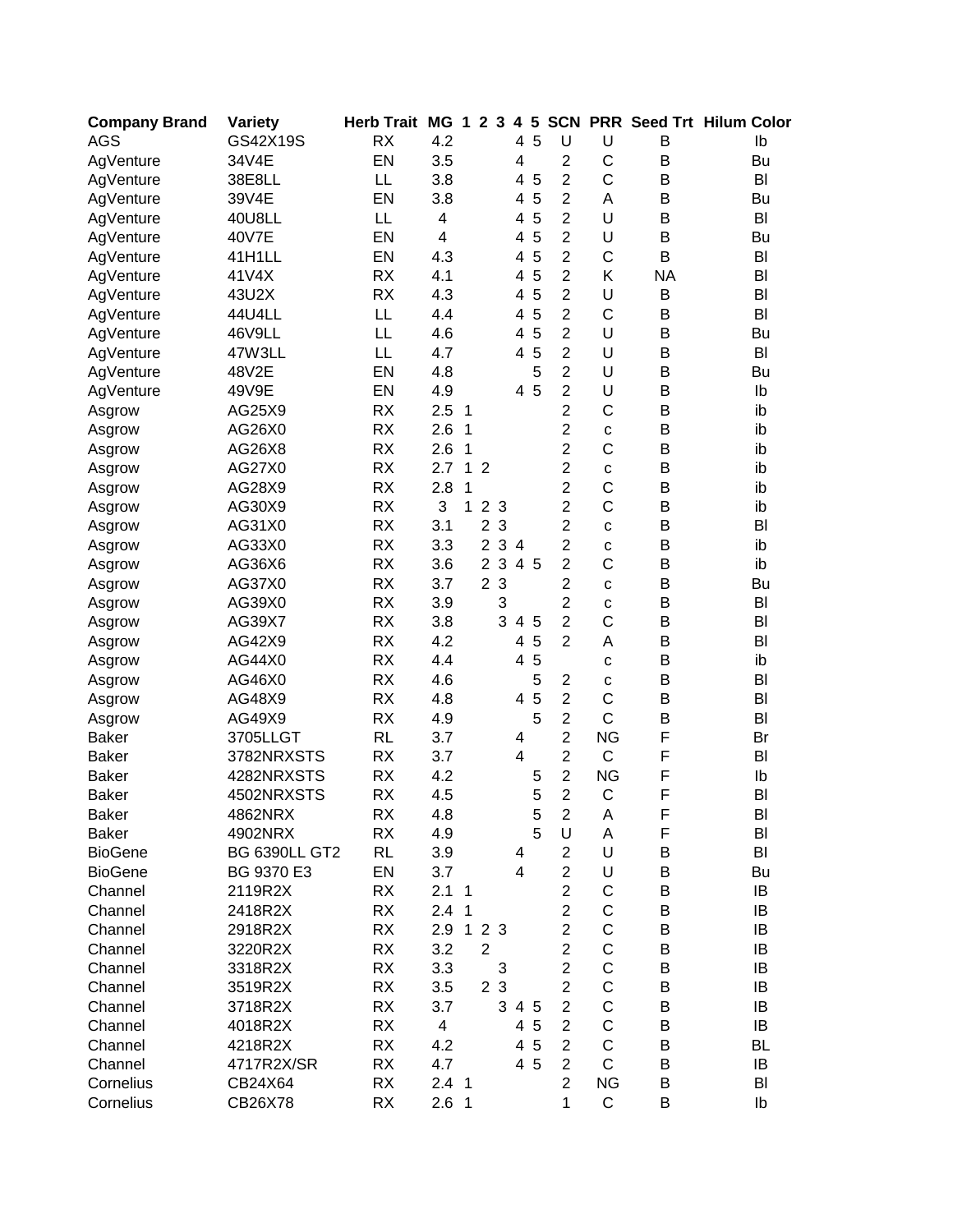| <b>Company Brand</b> | <b>Variety</b>       | <b>Herb Trait</b> | <b>MG</b>        | $\mathbf 1$    |                | 2 <sub>3</sub> | 4              | $5\phantom{.0}$ | <b>SCN</b>     |                |           | <b>PRR Seed Trt Hilum Color</b> |
|----------------------|----------------------|-------------------|------------------|----------------|----------------|----------------|----------------|-----------------|----------------|----------------|-----------|---------------------------------|
| <b>AGS</b>           | GS42X19S             | <b>RX</b>         | 4.2              |                |                |                | 4              | 5               | U              | U              | B         | Ib                              |
| AgVenture            | 34V4E                | EN                | 3.5              |                |                |                | 4              |                 | $\overline{c}$ | C              | B         | Bu                              |
| AgVenture            | 38E8LL               | LL                | 3.8              |                |                |                | 4              | 5               | $\overline{2}$ | $\mathsf{C}$   | B         | BI                              |
| AgVenture            | 39V4E                | EN                | 3.8              |                |                |                | 4              | 5               | $\overline{c}$ | Α              | В         | Bu                              |
| AgVenture            | 40U8LL               | LL                | 4                |                |                |                | 4              | 5               | $\overline{2}$ | U              | В         | BI                              |
| AgVenture            | 40V7E                | EN                | 4                |                |                |                | 4              | 5               | $\overline{2}$ | U              | B         | Bu                              |
| AgVenture            | 41H1LL               | EN                | 4.3              |                |                |                | 4              | 5               | $\overline{2}$ | C              | B         | BI                              |
| AgVenture            | 41V4X                | <b>RX</b>         | 4.1              |                |                |                | 4              | 5               | $\overline{2}$ | Κ              | <b>NA</b> | BI                              |
| AgVenture            | 43U2X                | <b>RX</b>         | 4.3              |                |                |                | 4              | 5               | $\overline{2}$ | U              | B         | BI                              |
| AgVenture            | 44U4LL               | LL                | 4.4              |                |                |                | 4              | 5               | $\overline{2}$ | C              | B         | BI                              |
| AgVenture            | 46V9LL               | LL                | 4.6              |                |                |                | 4              | 5               | $\overline{2}$ | U              | B         | Bu                              |
| AgVenture            | 47W3LL               | LL                | 4.7              |                |                |                | 4              | 5               | $\overline{2}$ | U              | B         | B <sub>l</sub>                  |
| AgVenture            | 48V2E                | EN                | 4.8              |                |                |                |                | 5               | $\overline{c}$ | U              | B         | Bu                              |
| AgVenture            | 49V9E                | EN                | 4.9              |                |                |                |                | 4 5             | $\overline{c}$ | U              | B         | Ib                              |
| Asgrow               | AG25X9               | <b>RX</b>         | 2.5              | $\mathbf{1}$   |                |                |                |                 | $\overline{c}$ | $\overline{C}$ | B         | ib                              |
| Asgrow               | AG26X0               | <b>RX</b>         | 2.6              | 1              |                |                |                |                 | $\overline{2}$ | $\mathbf C$    | B         | ib                              |
| Asgrow               | AG26X8               | <b>RX</b>         | 2.6              | 1              |                |                |                |                 | $\overline{c}$ | $\mathsf{C}$   | B         | ib                              |
| Asgrow               | AG27X0               | <b>RX</b>         | 2.7              | $\mathbf{1}$   | $\overline{2}$ |                |                |                 | $\overline{2}$ | $\mathbf C$    | B         | ib                              |
| Asgrow               | AG28X9               | <b>RX</b>         | 2.8              | 1              |                |                |                |                 | $\overline{2}$ | $\mathsf{C}$   | B         | ib                              |
| Asgrow               | AG30X9               | <b>RX</b>         | 3                | 1              |                | 2 <sub>3</sub> |                |                 | $\overline{c}$ | $\mathsf{C}$   | В         | ib                              |
| Asgrow               | AG31X0               | <b>RX</b>         | 3.1              |                | $\overline{2}$ | $\mathbf{3}$   |                |                 | $\overline{2}$ | $\mathbf c$    | B         | BI                              |
| Asgrow               | AG33X0               | <b>RX</b>         | 3.3              |                | $\overline{2}$ | $\sqrt{3}$     | $\overline{a}$ |                 | $\overline{c}$ | C              | B         | ib                              |
| Asgrow               | AG36X6               | <b>RX</b>         | 3.6              |                |                | 2 <sub>3</sub> |                | 4 5             | $\overline{2}$ | C              | B         | ib                              |
| Asgrow               | AG37X0               | <b>RX</b>         | 3.7              |                |                | 2 <sub>3</sub> |                |                 | $\overline{2}$ | C              | B         | Bu                              |
| Asgrow               | AG39X0               | <b>RX</b>         | 3.9              |                |                | 3              |                |                 | $\overline{2}$ | C              | B         | BI                              |
| Asgrow               | AG39X7               | <b>RX</b>         | 3.8              |                |                | 3              | 4              | 5               | $\overline{2}$ | C              | B         | BI                              |
| Asgrow               | AG42X9               | <b>RX</b>         | 4.2              |                |                |                | 4              | 5               | $\overline{2}$ | A              | B         | BI                              |
| Asgrow               | AG44X0               | <b>RX</b>         | 4.4              |                |                |                | 4              | 5               |                | $\mathbf C$    | B         | ib                              |
| Asgrow               | AG46X0               | <b>RX</b>         | 4.6              |                |                |                |                | 5               | $\overline{c}$ | $\mathbf c$    | B         | BI                              |
| Asgrow               | AG48X9               | <b>RX</b>         | 4.8              |                |                |                | 4              | 5               | $\overline{2}$ | $\mathsf{C}$   | B         | BI                              |
| Asgrow               | AG49X9               | <b>RX</b>         | 4.9              |                |                |                |                | 5               | $\overline{2}$ | $\mathsf{C}$   | B         | BI                              |
| <b>Baker</b>         | 3705LLGT             | <b>RL</b>         | 3.7              |                |                |                | 4              |                 | $\overline{c}$ | <b>NG</b>      | F         | Br                              |
| <b>Baker</b>         | 3782NRXSTS           | <b>RX</b>         | 3.7              |                |                |                | $\overline{4}$ |                 | $\overline{2}$ | $\mathsf{C}$   | F         | BI                              |
| <b>Baker</b>         | 4282NRXSTS           | <b>RX</b>         | 4.2              |                |                |                |                | 5               | $\overline{2}$ | <b>NG</b>      | F         | Ib                              |
| <b>Baker</b>         | 4502NRXSTS           | <b>RX</b>         | 4.5              |                |                |                |                | 5               | $\overline{2}$ | C              | F         | BI                              |
| Baker                | 4862NRX              | RX                | 4.8              |                |                |                |                | 5               | 2              | A              | F         | BI                              |
| <b>Baker</b>         | 4902NRX              | <b>RX</b>         | 4.9              |                |                |                |                | 5               | U              | Α              | F         | BI                              |
| <b>BioGene</b>       | <b>BG 6390LL GT2</b> | <b>RL</b>         | 3.9              |                |                |                | 4              |                 | 2              | U              | В         | BI                              |
| <b>BioGene</b>       | BG 9370 E3           | EN                | 3.7              |                |                |                | 4              |                 | $\overline{2}$ | U              | B         | Bu                              |
| Channel              | 2119R2X              | <b>RX</b>         | 2.1              | $\mathbf{1}$   |                |                |                |                 | $\overline{2}$ | С              | В         | IB                              |
| Channel              | 2418R2X              | <b>RX</b>         | 2.4 <sub>1</sub> |                |                |                |                |                 | $\overline{2}$ | C              | В         | IB                              |
| Channel              | 2918R2X              | <b>RX</b>         | 2.9              | $\mathbf{1}$   |                | 2 <sub>3</sub> |                |                 | $\overline{2}$ | С              | В         | IB                              |
| Channel              | 3220R2X              | <b>RX</b>         | 3.2              |                | $\overline{2}$ |                |                |                 | $\overline{2}$ | $\mathsf C$    | B         | IB                              |
| Channel              | 3318R2X              | <b>RX</b>         | 3.3              |                |                | 3              |                |                 | $\overline{c}$ | $\mathsf C$    | B         | IB                              |
| Channel              | 3519R2X              | <b>RX</b>         | 3.5              |                |                | 2 3            |                |                 | $\overline{2}$ | С              | В         | IB                              |
| Channel              | 3718R2X              | <b>RX</b>         | 3.7              |                |                | 3              |                | 4 5             | $\overline{2}$ | $\mathsf C$    | В         | IB                              |
| Channel              | 4018R2X              | <b>RX</b>         | $\overline{4}$   |                |                |                |                | 4 5             | $\overline{2}$ | $\mathsf C$    | В         | IB                              |
| Channel              | 4218R2X              | <b>RX</b>         | 4.2              |                |                |                |                | 4 5             | $\overline{2}$ | $\mathsf C$    | B         | <b>BL</b>                       |
| Channel              | 4717R2X/SR           | RX                | 4.7              |                |                |                |                | 4 5             | $\overline{2}$ | $\mathsf{C}$   | В         | IB                              |
| Cornelius            | CB24X64              | <b>RX</b>         | 2.4 <sub>1</sub> |                |                |                |                |                 | $\overline{2}$ | <b>NG</b>      | B         | BI                              |
| Cornelius            | CB26X78              | RX                | 2.6              | $\overline{1}$ |                |                |                |                 | 1              | $\mathsf{C}$   | B         | Ib                              |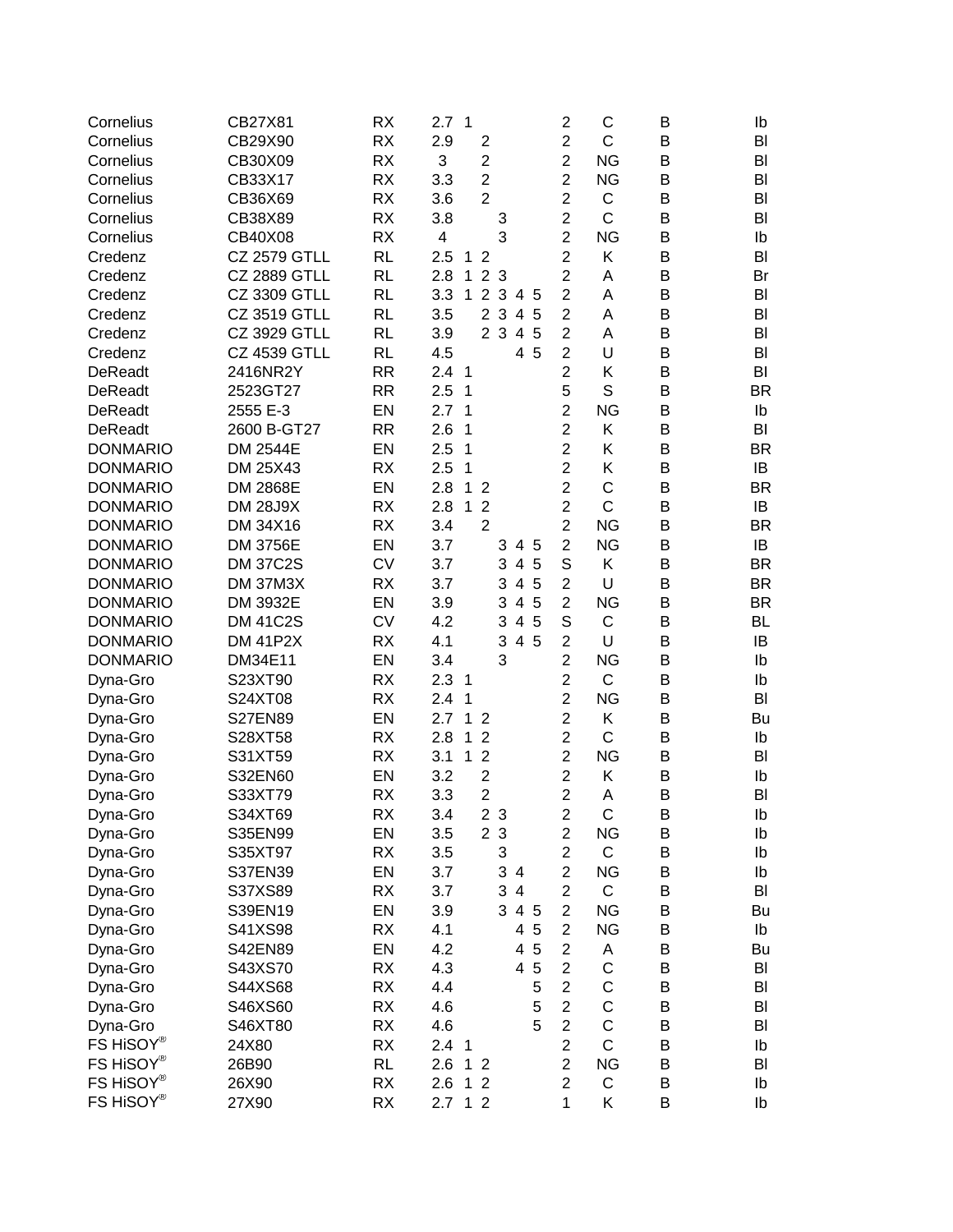| $\overline{2}$<br><b>RX</b><br>C<br>Cornelius<br>CB29X90<br>2.9<br>$\overline{2}$<br>В<br>BI<br>$\overline{2}$<br>$\overline{2}$<br><b>NG</b><br><b>RX</b><br>3<br>B<br>Cornelius<br>CB30X09<br>BI<br>$\overline{2}$<br>$\overline{2}$<br><b>RX</b><br>3.3<br><b>NG</b><br>B<br>Cornelius<br>CB33X17<br>BI<br>$\overline{2}$<br>$\overline{2}$<br>C<br>CB36X69<br><b>RX</b><br>3.6<br>B<br>Cornelius<br>BI<br>$\overline{2}$<br>C<br>CB38X89<br><b>RX</b><br>3.8<br>B<br>BI<br>Cornelius<br>3<br>3<br>$\overline{2}$<br><b>NG</b><br>Cornelius<br><b>RX</b><br>4<br>B<br>CB40X08<br>Ib<br>$\overline{2}$<br><b>RL</b><br>Κ<br><b>CZ 2579 GTLL</b><br>$\overline{2}$<br>B<br>BI<br>Credenz<br>2.5<br>$\mathbf{1}$<br>$\overline{c}$<br>2 <sub>3</sub><br><b>CZ 2889 GTLL</b><br><b>RL</b><br>2.8<br>$\mathbf{1}$<br>Α<br>B<br>Credenz<br>Br<br>$\overline{2}$<br>3.3<br>1 <sub>2</sub><br>$\mathbf{3}$<br><b>CZ 3309 GTLL</b><br><b>RL</b><br>4 5<br>Α<br>B<br>BI<br>Credenz<br>$\mathbf{3}$<br>$\overline{2}$<br>$\overline{2}$<br><b>CZ 3519 GTLL</b><br><b>RL</b><br>3.5<br>$\overline{4}$<br>5<br>Α<br>B<br>Credenz<br>BI<br>2 3<br>4 5<br>$\overline{2}$<br><b>CZ 3929 GTLL</b><br><b>RL</b><br>3.9<br>Α<br>B<br>Credenz<br>BI<br>$\overline{c}$<br><b>CZ 4539 GTLL</b><br><b>RL</b><br>4.5<br>4 5<br>U<br>B<br>Credenz<br>BI<br>$\overline{2}$<br><b>DeReadt</b><br>2416NR2Y<br><b>RR</b><br>2.4<br>Κ<br>B<br>BI<br>$\overline{1}$<br>5<br>S<br>2.5<br>2523GT27<br><b>RR</b><br>1<br>B<br><b>BR</b><br><b>DeReadt</b><br>$\overline{c}$<br>EN<br>2.7<br><b>NG</b><br>2555 E-3<br>1<br>B<br>Ib<br><b>DeReadt</b><br>$\overline{2}$<br>2.6<br>2600 B-GT27<br><b>RR</b><br>1<br>Κ<br>B<br>BI<br><b>DeReadt</b><br>$\overline{2}$<br>Κ<br><b>DONMARIO</b><br><b>DM 2544E</b><br>EN<br>2.5<br>1<br>B<br><b>BR</b><br>$\overline{2}$<br><b>RX</b><br>Κ<br><b>DONMARIO</b><br>DM 25X43<br>2.5<br>1<br>IB<br>В<br>$\overline{2}$<br>C<br>2.8<br><b>DONMARIO</b><br>DM 2868E<br>EN<br>B<br><b>BR</b><br>1<br>$\overline{2}$<br>$\overline{2}$<br>$\overline{C}$<br>2.8<br><b>DONMARIO</b><br><b>DM 28J9X</b><br><b>RX</b><br>1<br>$\overline{2}$<br>B<br>IB<br>$\overline{2}$<br>$\overline{2}$<br><b>NG</b><br><b>DONMARIO</b><br>DM 34X16<br><b>RX</b><br>3.4<br>B<br><b>BR</b><br>$\overline{2}$<br>EN<br><b>NG</b><br><b>DONMARIO</b><br>DM 3756E<br>3.7<br>3<br>B<br>IB<br>4 5<br>S<br><b>CV</b><br>Κ<br><b>DONMARIO</b><br><b>DM 37C2S</b><br>3.7<br>3<br>4<br>5<br>B<br><b>BR</b><br>$\overline{2}$<br>U<br><b>DONMARIO</b><br><b>DM 37M3X</b><br><b>RX</b><br>3.7<br>3<br>4<br>5<br>B<br><b>BR</b><br>$\overline{2}$<br>EN<br>$\overline{\mathbf{4}}$<br>5<br><b>NG</b><br>B<br><b>DONMARIO</b><br>DM 3932E<br>3.9<br>3<br><b>BR</b><br>S<br><b>CV</b><br>$\overline{\mathbf{4}}$<br>5<br>C<br><b>DONMARIO</b><br><b>DM 41C2S</b><br>4.2<br>3<br>B<br>BL<br>$\overline{2}$<br><b>DM 41P2X</b><br><b>RX</b><br>3<br>4 5<br>U<br><b>DONMARIO</b><br>4.1<br>B<br>IB<br><b>DONMARIO</b><br>3<br>$\overline{2}$<br><b>NG</b><br>DM34E11<br>EN<br>3.4<br>B<br>Ib<br>$\overline{2}$<br>C<br>Dyna-Gro<br>S23XT90<br><b>RX</b><br>2.3<br>B<br>$\mathbf 1$<br>Ib<br>$\overline{c}$<br><b>RX</b><br><b>NG</b><br>S24XT08<br>2.4<br>1<br>B<br>BI<br>Dyna-Gro<br>$\overline{2}$<br>EN<br>2.7<br>1<br><b>S27EN89</b><br>Κ<br>B<br>Dyna-Gro<br>$\overline{2}$<br>Bu<br>$\overline{c}$<br>C<br><b>RX</b><br>2.8<br>1<br>$\overline{2}$<br>B<br>Dyna-Gro<br>S28XT58<br>Ib<br>$\overline{2}$<br>$\overline{2}$<br><b>NG</b><br>S31XT59<br><b>RX</b><br>3.1<br>1<br>B<br>BI<br>Dyna-Gro<br>$\overline{2}$<br>$\overline{2}$<br>S32EN60<br>EN<br>3.2<br>Κ<br>B<br>Dyna-Gro<br>Ib<br>$\overline{2}$<br>$\overline{2}$<br><b>RX</b><br>3.3<br>Dyna-Gro<br>S33XT79<br>Α<br>Β<br>BI<br>Dyna-Gro<br>S34XT69<br>RX<br>3.4<br>2 3<br>2<br>С<br>Β<br>Ib<br>EN<br>3.5<br>2 <sub>3</sub><br>$\overline{c}$<br><b>NG</b><br>B<br>S35EN99<br>Ib<br>Dyna-Gro<br>3<br>$\overline{2}$<br>C<br>S35XT97<br>RX<br>3.5<br>B<br>Ib<br>Dyna-Gro<br>3<br>$\overline{c}$<br>S37EN39<br>EN<br>3.7<br><b>NG</b><br>B<br>4<br>Ib<br>Dyna-Gro<br>3<br>$\overline{2}$<br>C<br>S37XS89<br><b>RX</b><br>3.7<br>4<br>B<br>BI<br>Dyna-Gro<br>$\overline{2}$<br><b>NG</b><br>S39EN19<br>EN<br>3.9<br>3<br>4 5<br>B<br>Dyna-Gro<br>Bu<br>$\overline{2}$<br><b>NG</b><br>S41XS98<br>RX<br>4.1<br>4<br>5<br>B<br>Dyna-Gro<br>Ib<br>$\overline{2}$<br>5<br>S42EN89<br>EN<br>4.2<br>Dyna-Gro<br>4<br>A<br>В<br>Bu<br>$\overline{2}$<br>C<br>$\overline{5}$<br><b>RX</b><br>4.3<br>4<br>B<br>Dyna-Gro<br>S43XS70<br>BI<br>C<br>$\overline{2}$<br>S44XS68<br><b>RX</b><br>4.4<br>5<br>B<br>Dyna-Gro<br>BI<br>C<br>$\overline{2}$<br>S46XS60<br>RX<br>4.6<br>5<br>B<br>Dyna-Gro<br>BI<br>$\overline{c}$<br>C<br><b>RX</b><br>4.6<br>5<br>S46XT80<br>Dyna-Gro<br>В<br>BI<br>FS HiSOY®<br>$\overline{c}$<br>C<br><b>RX</b><br>24X80<br>2.4 <sub>1</sub><br>B<br>Ib<br>FS HiSOY®<br>$\overline{c}$<br><b>NG</b><br>26B90<br><b>RL</b><br>2.6<br>B<br>1<br>$\overline{2}$<br>BI<br>FS HiSOY®<br>$\overline{2}$<br>$\mathsf C$<br>26X90<br>RX<br>2.6<br>2<br>B<br>1<br>Ib<br>FS HiSOY®<br>$\mathbf{1}$<br>Κ<br>27X90<br>RX<br>2.7<br>12<br>B<br>Ib | Cornelius | CB27X81 | <b>RX</b> | 2.7 | $\overline{1}$ |  |  | 2 | C | B | Ib |
|--------------------------------------------------------------------------------------------------------------------------------------------------------------------------------------------------------------------------------------------------------------------------------------------------------------------------------------------------------------------------------------------------------------------------------------------------------------------------------------------------------------------------------------------------------------------------------------------------------------------------------------------------------------------------------------------------------------------------------------------------------------------------------------------------------------------------------------------------------------------------------------------------------------------------------------------------------------------------------------------------------------------------------------------------------------------------------------------------------------------------------------------------------------------------------------------------------------------------------------------------------------------------------------------------------------------------------------------------------------------------------------------------------------------------------------------------------------------------------------------------------------------------------------------------------------------------------------------------------------------------------------------------------------------------------------------------------------------------------------------------------------------------------------------------------------------------------------------------------------------------------------------------------------------------------------------------------------------------------------------------------------------------------------------------------------------------------------------------------------------------------------------------------------------------------------------------------------------------------------------------------------------------------------------------------------------------------------------------------------------------------------------------------------------------------------------------------------------------------------------------------------------------------------------------------------------------------------------------------------------------------------------------------------------------------------------------------------------------------------------------------------------------------------------------------------------------------------------------------------------------------------------------------------------------------------------------------------------------------------------------------------------------------------------------------------------------------------------------------------------------------------------------------------------------------------------------------------------------------------------------------------------------------------------------------------------------------------------------------------------------------------------------------------------------------------------------------------------------------------------------------------------------------------------------------------------------------------------------------------------------------------------------------------------------------------------------------------------------------------------------------------------------------------------------------------------------------------------------------------------------------------------------------------------------------------------------------------------------------------------------------------------------------------------------------------------------------------------------------------------------------------------------------------------------------------------------------------------------------------------------------------------------------------------------------------------------------------------------------------------------------------------------------------------------------------------------------------------------------------------------------------------------------------------------------------------------------------------------------------------------------------------------------------------------------------------------------------------------------------------------------------------------------------------------------------------------------------------------------------------------------------------------------------------------------------------------------------------------------------------------------------------------------------------------------------------------------------------------------------------------------------------------------------------------------------|-----------|---------|-----------|-----|----------------|--|--|---|---|---|----|
|                                                                                                                                                                                                                                                                                                                                                                                                                                                                                                                                                                                                                                                                                                                                                                                                                                                                                                                                                                                                                                                                                                                                                                                                                                                                                                                                                                                                                                                                                                                                                                                                                                                                                                                                                                                                                                                                                                                                                                                                                                                                                                                                                                                                                                                                                                                                                                                                                                                                                                                                                                                                                                                                                                                                                                                                                                                                                                                                                                                                                                                                                                                                                                                                                                                                                                                                                                                                                                                                                                                                                                                                                                                                                                                                                                                                                                                                                                                                                                                                                                                                                                                                                                                                                                                                                                                                                                                                                                                                                                                                                                                                                                                                                                                                                                                                                                                                                                                                                                                                                                                                                                                                                                                      |           |         |           |     |                |  |  |   |   |   |    |
|                                                                                                                                                                                                                                                                                                                                                                                                                                                                                                                                                                                                                                                                                                                                                                                                                                                                                                                                                                                                                                                                                                                                                                                                                                                                                                                                                                                                                                                                                                                                                                                                                                                                                                                                                                                                                                                                                                                                                                                                                                                                                                                                                                                                                                                                                                                                                                                                                                                                                                                                                                                                                                                                                                                                                                                                                                                                                                                                                                                                                                                                                                                                                                                                                                                                                                                                                                                                                                                                                                                                                                                                                                                                                                                                                                                                                                                                                                                                                                                                                                                                                                                                                                                                                                                                                                                                                                                                                                                                                                                                                                                                                                                                                                                                                                                                                                                                                                                                                                                                                                                                                                                                                                                      |           |         |           |     |                |  |  |   |   |   |    |
|                                                                                                                                                                                                                                                                                                                                                                                                                                                                                                                                                                                                                                                                                                                                                                                                                                                                                                                                                                                                                                                                                                                                                                                                                                                                                                                                                                                                                                                                                                                                                                                                                                                                                                                                                                                                                                                                                                                                                                                                                                                                                                                                                                                                                                                                                                                                                                                                                                                                                                                                                                                                                                                                                                                                                                                                                                                                                                                                                                                                                                                                                                                                                                                                                                                                                                                                                                                                                                                                                                                                                                                                                                                                                                                                                                                                                                                                                                                                                                                                                                                                                                                                                                                                                                                                                                                                                                                                                                                                                                                                                                                                                                                                                                                                                                                                                                                                                                                                                                                                                                                                                                                                                                                      |           |         |           |     |                |  |  |   |   |   |    |
|                                                                                                                                                                                                                                                                                                                                                                                                                                                                                                                                                                                                                                                                                                                                                                                                                                                                                                                                                                                                                                                                                                                                                                                                                                                                                                                                                                                                                                                                                                                                                                                                                                                                                                                                                                                                                                                                                                                                                                                                                                                                                                                                                                                                                                                                                                                                                                                                                                                                                                                                                                                                                                                                                                                                                                                                                                                                                                                                                                                                                                                                                                                                                                                                                                                                                                                                                                                                                                                                                                                                                                                                                                                                                                                                                                                                                                                                                                                                                                                                                                                                                                                                                                                                                                                                                                                                                                                                                                                                                                                                                                                                                                                                                                                                                                                                                                                                                                                                                                                                                                                                                                                                                                                      |           |         |           |     |                |  |  |   |   |   |    |
|                                                                                                                                                                                                                                                                                                                                                                                                                                                                                                                                                                                                                                                                                                                                                                                                                                                                                                                                                                                                                                                                                                                                                                                                                                                                                                                                                                                                                                                                                                                                                                                                                                                                                                                                                                                                                                                                                                                                                                                                                                                                                                                                                                                                                                                                                                                                                                                                                                                                                                                                                                                                                                                                                                                                                                                                                                                                                                                                                                                                                                                                                                                                                                                                                                                                                                                                                                                                                                                                                                                                                                                                                                                                                                                                                                                                                                                                                                                                                                                                                                                                                                                                                                                                                                                                                                                                                                                                                                                                                                                                                                                                                                                                                                                                                                                                                                                                                                                                                                                                                                                                                                                                                                                      |           |         |           |     |                |  |  |   |   |   |    |
|                                                                                                                                                                                                                                                                                                                                                                                                                                                                                                                                                                                                                                                                                                                                                                                                                                                                                                                                                                                                                                                                                                                                                                                                                                                                                                                                                                                                                                                                                                                                                                                                                                                                                                                                                                                                                                                                                                                                                                                                                                                                                                                                                                                                                                                                                                                                                                                                                                                                                                                                                                                                                                                                                                                                                                                                                                                                                                                                                                                                                                                                                                                                                                                                                                                                                                                                                                                                                                                                                                                                                                                                                                                                                                                                                                                                                                                                                                                                                                                                                                                                                                                                                                                                                                                                                                                                                                                                                                                                                                                                                                                                                                                                                                                                                                                                                                                                                                                                                                                                                                                                                                                                                                                      |           |         |           |     |                |  |  |   |   |   |    |
|                                                                                                                                                                                                                                                                                                                                                                                                                                                                                                                                                                                                                                                                                                                                                                                                                                                                                                                                                                                                                                                                                                                                                                                                                                                                                                                                                                                                                                                                                                                                                                                                                                                                                                                                                                                                                                                                                                                                                                                                                                                                                                                                                                                                                                                                                                                                                                                                                                                                                                                                                                                                                                                                                                                                                                                                                                                                                                                                                                                                                                                                                                                                                                                                                                                                                                                                                                                                                                                                                                                                                                                                                                                                                                                                                                                                                                                                                                                                                                                                                                                                                                                                                                                                                                                                                                                                                                                                                                                                                                                                                                                                                                                                                                                                                                                                                                                                                                                                                                                                                                                                                                                                                                                      |           |         |           |     |                |  |  |   |   |   |    |
|                                                                                                                                                                                                                                                                                                                                                                                                                                                                                                                                                                                                                                                                                                                                                                                                                                                                                                                                                                                                                                                                                                                                                                                                                                                                                                                                                                                                                                                                                                                                                                                                                                                                                                                                                                                                                                                                                                                                                                                                                                                                                                                                                                                                                                                                                                                                                                                                                                                                                                                                                                                                                                                                                                                                                                                                                                                                                                                                                                                                                                                                                                                                                                                                                                                                                                                                                                                                                                                                                                                                                                                                                                                                                                                                                                                                                                                                                                                                                                                                                                                                                                                                                                                                                                                                                                                                                                                                                                                                                                                                                                                                                                                                                                                                                                                                                                                                                                                                                                                                                                                                                                                                                                                      |           |         |           |     |                |  |  |   |   |   |    |
|                                                                                                                                                                                                                                                                                                                                                                                                                                                                                                                                                                                                                                                                                                                                                                                                                                                                                                                                                                                                                                                                                                                                                                                                                                                                                                                                                                                                                                                                                                                                                                                                                                                                                                                                                                                                                                                                                                                                                                                                                                                                                                                                                                                                                                                                                                                                                                                                                                                                                                                                                                                                                                                                                                                                                                                                                                                                                                                                                                                                                                                                                                                                                                                                                                                                                                                                                                                                                                                                                                                                                                                                                                                                                                                                                                                                                                                                                                                                                                                                                                                                                                                                                                                                                                                                                                                                                                                                                                                                                                                                                                                                                                                                                                                                                                                                                                                                                                                                                                                                                                                                                                                                                                                      |           |         |           |     |                |  |  |   |   |   |    |
|                                                                                                                                                                                                                                                                                                                                                                                                                                                                                                                                                                                                                                                                                                                                                                                                                                                                                                                                                                                                                                                                                                                                                                                                                                                                                                                                                                                                                                                                                                                                                                                                                                                                                                                                                                                                                                                                                                                                                                                                                                                                                                                                                                                                                                                                                                                                                                                                                                                                                                                                                                                                                                                                                                                                                                                                                                                                                                                                                                                                                                                                                                                                                                                                                                                                                                                                                                                                                                                                                                                                                                                                                                                                                                                                                                                                                                                                                                                                                                                                                                                                                                                                                                                                                                                                                                                                                                                                                                                                                                                                                                                                                                                                                                                                                                                                                                                                                                                                                                                                                                                                                                                                                                                      |           |         |           |     |                |  |  |   |   |   |    |
|                                                                                                                                                                                                                                                                                                                                                                                                                                                                                                                                                                                                                                                                                                                                                                                                                                                                                                                                                                                                                                                                                                                                                                                                                                                                                                                                                                                                                                                                                                                                                                                                                                                                                                                                                                                                                                                                                                                                                                                                                                                                                                                                                                                                                                                                                                                                                                                                                                                                                                                                                                                                                                                                                                                                                                                                                                                                                                                                                                                                                                                                                                                                                                                                                                                                                                                                                                                                                                                                                                                                                                                                                                                                                                                                                                                                                                                                                                                                                                                                                                                                                                                                                                                                                                                                                                                                                                                                                                                                                                                                                                                                                                                                                                                                                                                                                                                                                                                                                                                                                                                                                                                                                                                      |           |         |           |     |                |  |  |   |   |   |    |
|                                                                                                                                                                                                                                                                                                                                                                                                                                                                                                                                                                                                                                                                                                                                                                                                                                                                                                                                                                                                                                                                                                                                                                                                                                                                                                                                                                                                                                                                                                                                                                                                                                                                                                                                                                                                                                                                                                                                                                                                                                                                                                                                                                                                                                                                                                                                                                                                                                                                                                                                                                                                                                                                                                                                                                                                                                                                                                                                                                                                                                                                                                                                                                                                                                                                                                                                                                                                                                                                                                                                                                                                                                                                                                                                                                                                                                                                                                                                                                                                                                                                                                                                                                                                                                                                                                                                                                                                                                                                                                                                                                                                                                                                                                                                                                                                                                                                                                                                                                                                                                                                                                                                                                                      |           |         |           |     |                |  |  |   |   |   |    |
|                                                                                                                                                                                                                                                                                                                                                                                                                                                                                                                                                                                                                                                                                                                                                                                                                                                                                                                                                                                                                                                                                                                                                                                                                                                                                                                                                                                                                                                                                                                                                                                                                                                                                                                                                                                                                                                                                                                                                                                                                                                                                                                                                                                                                                                                                                                                                                                                                                                                                                                                                                                                                                                                                                                                                                                                                                                                                                                                                                                                                                                                                                                                                                                                                                                                                                                                                                                                                                                                                                                                                                                                                                                                                                                                                                                                                                                                                                                                                                                                                                                                                                                                                                                                                                                                                                                                                                                                                                                                                                                                                                                                                                                                                                                                                                                                                                                                                                                                                                                                                                                                                                                                                                                      |           |         |           |     |                |  |  |   |   |   |    |
|                                                                                                                                                                                                                                                                                                                                                                                                                                                                                                                                                                                                                                                                                                                                                                                                                                                                                                                                                                                                                                                                                                                                                                                                                                                                                                                                                                                                                                                                                                                                                                                                                                                                                                                                                                                                                                                                                                                                                                                                                                                                                                                                                                                                                                                                                                                                                                                                                                                                                                                                                                                                                                                                                                                                                                                                                                                                                                                                                                                                                                                                                                                                                                                                                                                                                                                                                                                                                                                                                                                                                                                                                                                                                                                                                                                                                                                                                                                                                                                                                                                                                                                                                                                                                                                                                                                                                                                                                                                                                                                                                                                                                                                                                                                                                                                                                                                                                                                                                                                                                                                                                                                                                                                      |           |         |           |     |                |  |  |   |   |   |    |
|                                                                                                                                                                                                                                                                                                                                                                                                                                                                                                                                                                                                                                                                                                                                                                                                                                                                                                                                                                                                                                                                                                                                                                                                                                                                                                                                                                                                                                                                                                                                                                                                                                                                                                                                                                                                                                                                                                                                                                                                                                                                                                                                                                                                                                                                                                                                                                                                                                                                                                                                                                                                                                                                                                                                                                                                                                                                                                                                                                                                                                                                                                                                                                                                                                                                                                                                                                                                                                                                                                                                                                                                                                                                                                                                                                                                                                                                                                                                                                                                                                                                                                                                                                                                                                                                                                                                                                                                                                                                                                                                                                                                                                                                                                                                                                                                                                                                                                                                                                                                                                                                                                                                                                                      |           |         |           |     |                |  |  |   |   |   |    |
|                                                                                                                                                                                                                                                                                                                                                                                                                                                                                                                                                                                                                                                                                                                                                                                                                                                                                                                                                                                                                                                                                                                                                                                                                                                                                                                                                                                                                                                                                                                                                                                                                                                                                                                                                                                                                                                                                                                                                                                                                                                                                                                                                                                                                                                                                                                                                                                                                                                                                                                                                                                                                                                                                                                                                                                                                                                                                                                                                                                                                                                                                                                                                                                                                                                                                                                                                                                                                                                                                                                                                                                                                                                                                                                                                                                                                                                                                                                                                                                                                                                                                                                                                                                                                                                                                                                                                                                                                                                                                                                                                                                                                                                                                                                                                                                                                                                                                                                                                                                                                                                                                                                                                                                      |           |         |           |     |                |  |  |   |   |   |    |
|                                                                                                                                                                                                                                                                                                                                                                                                                                                                                                                                                                                                                                                                                                                                                                                                                                                                                                                                                                                                                                                                                                                                                                                                                                                                                                                                                                                                                                                                                                                                                                                                                                                                                                                                                                                                                                                                                                                                                                                                                                                                                                                                                                                                                                                                                                                                                                                                                                                                                                                                                                                                                                                                                                                                                                                                                                                                                                                                                                                                                                                                                                                                                                                                                                                                                                                                                                                                                                                                                                                                                                                                                                                                                                                                                                                                                                                                                                                                                                                                                                                                                                                                                                                                                                                                                                                                                                                                                                                                                                                                                                                                                                                                                                                                                                                                                                                                                                                                                                                                                                                                                                                                                                                      |           |         |           |     |                |  |  |   |   |   |    |
|                                                                                                                                                                                                                                                                                                                                                                                                                                                                                                                                                                                                                                                                                                                                                                                                                                                                                                                                                                                                                                                                                                                                                                                                                                                                                                                                                                                                                                                                                                                                                                                                                                                                                                                                                                                                                                                                                                                                                                                                                                                                                                                                                                                                                                                                                                                                                                                                                                                                                                                                                                                                                                                                                                                                                                                                                                                                                                                                                                                                                                                                                                                                                                                                                                                                                                                                                                                                                                                                                                                                                                                                                                                                                                                                                                                                                                                                                                                                                                                                                                                                                                                                                                                                                                                                                                                                                                                                                                                                                                                                                                                                                                                                                                                                                                                                                                                                                                                                                                                                                                                                                                                                                                                      |           |         |           |     |                |  |  |   |   |   |    |
|                                                                                                                                                                                                                                                                                                                                                                                                                                                                                                                                                                                                                                                                                                                                                                                                                                                                                                                                                                                                                                                                                                                                                                                                                                                                                                                                                                                                                                                                                                                                                                                                                                                                                                                                                                                                                                                                                                                                                                                                                                                                                                                                                                                                                                                                                                                                                                                                                                                                                                                                                                                                                                                                                                                                                                                                                                                                                                                                                                                                                                                                                                                                                                                                                                                                                                                                                                                                                                                                                                                                                                                                                                                                                                                                                                                                                                                                                                                                                                                                                                                                                                                                                                                                                                                                                                                                                                                                                                                                                                                                                                                                                                                                                                                                                                                                                                                                                                                                                                                                                                                                                                                                                                                      |           |         |           |     |                |  |  |   |   |   |    |
|                                                                                                                                                                                                                                                                                                                                                                                                                                                                                                                                                                                                                                                                                                                                                                                                                                                                                                                                                                                                                                                                                                                                                                                                                                                                                                                                                                                                                                                                                                                                                                                                                                                                                                                                                                                                                                                                                                                                                                                                                                                                                                                                                                                                                                                                                                                                                                                                                                                                                                                                                                                                                                                                                                                                                                                                                                                                                                                                                                                                                                                                                                                                                                                                                                                                                                                                                                                                                                                                                                                                                                                                                                                                                                                                                                                                                                                                                                                                                                                                                                                                                                                                                                                                                                                                                                                                                                                                                                                                                                                                                                                                                                                                                                                                                                                                                                                                                                                                                                                                                                                                                                                                                                                      |           |         |           |     |                |  |  |   |   |   |    |
|                                                                                                                                                                                                                                                                                                                                                                                                                                                                                                                                                                                                                                                                                                                                                                                                                                                                                                                                                                                                                                                                                                                                                                                                                                                                                                                                                                                                                                                                                                                                                                                                                                                                                                                                                                                                                                                                                                                                                                                                                                                                                                                                                                                                                                                                                                                                                                                                                                                                                                                                                                                                                                                                                                                                                                                                                                                                                                                                                                                                                                                                                                                                                                                                                                                                                                                                                                                                                                                                                                                                                                                                                                                                                                                                                                                                                                                                                                                                                                                                                                                                                                                                                                                                                                                                                                                                                                                                                                                                                                                                                                                                                                                                                                                                                                                                                                                                                                                                                                                                                                                                                                                                                                                      |           |         |           |     |                |  |  |   |   |   |    |
|                                                                                                                                                                                                                                                                                                                                                                                                                                                                                                                                                                                                                                                                                                                                                                                                                                                                                                                                                                                                                                                                                                                                                                                                                                                                                                                                                                                                                                                                                                                                                                                                                                                                                                                                                                                                                                                                                                                                                                                                                                                                                                                                                                                                                                                                                                                                                                                                                                                                                                                                                                                                                                                                                                                                                                                                                                                                                                                                                                                                                                                                                                                                                                                                                                                                                                                                                                                                                                                                                                                                                                                                                                                                                                                                                                                                                                                                                                                                                                                                                                                                                                                                                                                                                                                                                                                                                                                                                                                                                                                                                                                                                                                                                                                                                                                                                                                                                                                                                                                                                                                                                                                                                                                      |           |         |           |     |                |  |  |   |   |   |    |
|                                                                                                                                                                                                                                                                                                                                                                                                                                                                                                                                                                                                                                                                                                                                                                                                                                                                                                                                                                                                                                                                                                                                                                                                                                                                                                                                                                                                                                                                                                                                                                                                                                                                                                                                                                                                                                                                                                                                                                                                                                                                                                                                                                                                                                                                                                                                                                                                                                                                                                                                                                                                                                                                                                                                                                                                                                                                                                                                                                                                                                                                                                                                                                                                                                                                                                                                                                                                                                                                                                                                                                                                                                                                                                                                                                                                                                                                                                                                                                                                                                                                                                                                                                                                                                                                                                                                                                                                                                                                                                                                                                                                                                                                                                                                                                                                                                                                                                                                                                                                                                                                                                                                                                                      |           |         |           |     |                |  |  |   |   |   |    |
|                                                                                                                                                                                                                                                                                                                                                                                                                                                                                                                                                                                                                                                                                                                                                                                                                                                                                                                                                                                                                                                                                                                                                                                                                                                                                                                                                                                                                                                                                                                                                                                                                                                                                                                                                                                                                                                                                                                                                                                                                                                                                                                                                                                                                                                                                                                                                                                                                                                                                                                                                                                                                                                                                                                                                                                                                                                                                                                                                                                                                                                                                                                                                                                                                                                                                                                                                                                                                                                                                                                                                                                                                                                                                                                                                                                                                                                                                                                                                                                                                                                                                                                                                                                                                                                                                                                                                                                                                                                                                                                                                                                                                                                                                                                                                                                                                                                                                                                                                                                                                                                                                                                                                                                      |           |         |           |     |                |  |  |   |   |   |    |
|                                                                                                                                                                                                                                                                                                                                                                                                                                                                                                                                                                                                                                                                                                                                                                                                                                                                                                                                                                                                                                                                                                                                                                                                                                                                                                                                                                                                                                                                                                                                                                                                                                                                                                                                                                                                                                                                                                                                                                                                                                                                                                                                                                                                                                                                                                                                                                                                                                                                                                                                                                                                                                                                                                                                                                                                                                                                                                                                                                                                                                                                                                                                                                                                                                                                                                                                                                                                                                                                                                                                                                                                                                                                                                                                                                                                                                                                                                                                                                                                                                                                                                                                                                                                                                                                                                                                                                                                                                                                                                                                                                                                                                                                                                                                                                                                                                                                                                                                                                                                                                                                                                                                                                                      |           |         |           |     |                |  |  |   |   |   |    |
|                                                                                                                                                                                                                                                                                                                                                                                                                                                                                                                                                                                                                                                                                                                                                                                                                                                                                                                                                                                                                                                                                                                                                                                                                                                                                                                                                                                                                                                                                                                                                                                                                                                                                                                                                                                                                                                                                                                                                                                                                                                                                                                                                                                                                                                                                                                                                                                                                                                                                                                                                                                                                                                                                                                                                                                                                                                                                                                                                                                                                                                                                                                                                                                                                                                                                                                                                                                                                                                                                                                                                                                                                                                                                                                                                                                                                                                                                                                                                                                                                                                                                                                                                                                                                                                                                                                                                                                                                                                                                                                                                                                                                                                                                                                                                                                                                                                                                                                                                                                                                                                                                                                                                                                      |           |         |           |     |                |  |  |   |   |   |    |
|                                                                                                                                                                                                                                                                                                                                                                                                                                                                                                                                                                                                                                                                                                                                                                                                                                                                                                                                                                                                                                                                                                                                                                                                                                                                                                                                                                                                                                                                                                                                                                                                                                                                                                                                                                                                                                                                                                                                                                                                                                                                                                                                                                                                                                                                                                                                                                                                                                                                                                                                                                                                                                                                                                                                                                                                                                                                                                                                                                                                                                                                                                                                                                                                                                                                                                                                                                                                                                                                                                                                                                                                                                                                                                                                                                                                                                                                                                                                                                                                                                                                                                                                                                                                                                                                                                                                                                                                                                                                                                                                                                                                                                                                                                                                                                                                                                                                                                                                                                                                                                                                                                                                                                                      |           |         |           |     |                |  |  |   |   |   |    |
|                                                                                                                                                                                                                                                                                                                                                                                                                                                                                                                                                                                                                                                                                                                                                                                                                                                                                                                                                                                                                                                                                                                                                                                                                                                                                                                                                                                                                                                                                                                                                                                                                                                                                                                                                                                                                                                                                                                                                                                                                                                                                                                                                                                                                                                                                                                                                                                                                                                                                                                                                                                                                                                                                                                                                                                                                                                                                                                                                                                                                                                                                                                                                                                                                                                                                                                                                                                                                                                                                                                                                                                                                                                                                                                                                                                                                                                                                                                                                                                                                                                                                                                                                                                                                                                                                                                                                                                                                                                                                                                                                                                                                                                                                                                                                                                                                                                                                                                                                                                                                                                                                                                                                                                      |           |         |           |     |                |  |  |   |   |   |    |
|                                                                                                                                                                                                                                                                                                                                                                                                                                                                                                                                                                                                                                                                                                                                                                                                                                                                                                                                                                                                                                                                                                                                                                                                                                                                                                                                                                                                                                                                                                                                                                                                                                                                                                                                                                                                                                                                                                                                                                                                                                                                                                                                                                                                                                                                                                                                                                                                                                                                                                                                                                                                                                                                                                                                                                                                                                                                                                                                                                                                                                                                                                                                                                                                                                                                                                                                                                                                                                                                                                                                                                                                                                                                                                                                                                                                                                                                                                                                                                                                                                                                                                                                                                                                                                                                                                                                                                                                                                                                                                                                                                                                                                                                                                                                                                                                                                                                                                                                                                                                                                                                                                                                                                                      |           |         |           |     |                |  |  |   |   |   |    |
|                                                                                                                                                                                                                                                                                                                                                                                                                                                                                                                                                                                                                                                                                                                                                                                                                                                                                                                                                                                                                                                                                                                                                                                                                                                                                                                                                                                                                                                                                                                                                                                                                                                                                                                                                                                                                                                                                                                                                                                                                                                                                                                                                                                                                                                                                                                                                                                                                                                                                                                                                                                                                                                                                                                                                                                                                                                                                                                                                                                                                                                                                                                                                                                                                                                                                                                                                                                                                                                                                                                                                                                                                                                                                                                                                                                                                                                                                                                                                                                                                                                                                                                                                                                                                                                                                                                                                                                                                                                                                                                                                                                                                                                                                                                                                                                                                                                                                                                                                                                                                                                                                                                                                                                      |           |         |           |     |                |  |  |   |   |   |    |
|                                                                                                                                                                                                                                                                                                                                                                                                                                                                                                                                                                                                                                                                                                                                                                                                                                                                                                                                                                                                                                                                                                                                                                                                                                                                                                                                                                                                                                                                                                                                                                                                                                                                                                                                                                                                                                                                                                                                                                                                                                                                                                                                                                                                                                                                                                                                                                                                                                                                                                                                                                                                                                                                                                                                                                                                                                                                                                                                                                                                                                                                                                                                                                                                                                                                                                                                                                                                                                                                                                                                                                                                                                                                                                                                                                                                                                                                                                                                                                                                                                                                                                                                                                                                                                                                                                                                                                                                                                                                                                                                                                                                                                                                                                                                                                                                                                                                                                                                                                                                                                                                                                                                                                                      |           |         |           |     |                |  |  |   |   |   |    |
|                                                                                                                                                                                                                                                                                                                                                                                                                                                                                                                                                                                                                                                                                                                                                                                                                                                                                                                                                                                                                                                                                                                                                                                                                                                                                                                                                                                                                                                                                                                                                                                                                                                                                                                                                                                                                                                                                                                                                                                                                                                                                                                                                                                                                                                                                                                                                                                                                                                                                                                                                                                                                                                                                                                                                                                                                                                                                                                                                                                                                                                                                                                                                                                                                                                                                                                                                                                                                                                                                                                                                                                                                                                                                                                                                                                                                                                                                                                                                                                                                                                                                                                                                                                                                                                                                                                                                                                                                                                                                                                                                                                                                                                                                                                                                                                                                                                                                                                                                                                                                                                                                                                                                                                      |           |         |           |     |                |  |  |   |   |   |    |
|                                                                                                                                                                                                                                                                                                                                                                                                                                                                                                                                                                                                                                                                                                                                                                                                                                                                                                                                                                                                                                                                                                                                                                                                                                                                                                                                                                                                                                                                                                                                                                                                                                                                                                                                                                                                                                                                                                                                                                                                                                                                                                                                                                                                                                                                                                                                                                                                                                                                                                                                                                                                                                                                                                                                                                                                                                                                                                                                                                                                                                                                                                                                                                                                                                                                                                                                                                                                                                                                                                                                                                                                                                                                                                                                                                                                                                                                                                                                                                                                                                                                                                                                                                                                                                                                                                                                                                                                                                                                                                                                                                                                                                                                                                                                                                                                                                                                                                                                                                                                                                                                                                                                                                                      |           |         |           |     |                |  |  |   |   |   |    |
|                                                                                                                                                                                                                                                                                                                                                                                                                                                                                                                                                                                                                                                                                                                                                                                                                                                                                                                                                                                                                                                                                                                                                                                                                                                                                                                                                                                                                                                                                                                                                                                                                                                                                                                                                                                                                                                                                                                                                                                                                                                                                                                                                                                                                                                                                                                                                                                                                                                                                                                                                                                                                                                                                                                                                                                                                                                                                                                                                                                                                                                                                                                                                                                                                                                                                                                                                                                                                                                                                                                                                                                                                                                                                                                                                                                                                                                                                                                                                                                                                                                                                                                                                                                                                                                                                                                                                                                                                                                                                                                                                                                                                                                                                                                                                                                                                                                                                                                                                                                                                                                                                                                                                                                      |           |         |           |     |                |  |  |   |   |   |    |
|                                                                                                                                                                                                                                                                                                                                                                                                                                                                                                                                                                                                                                                                                                                                                                                                                                                                                                                                                                                                                                                                                                                                                                                                                                                                                                                                                                                                                                                                                                                                                                                                                                                                                                                                                                                                                                                                                                                                                                                                                                                                                                                                                                                                                                                                                                                                                                                                                                                                                                                                                                                                                                                                                                                                                                                                                                                                                                                                                                                                                                                                                                                                                                                                                                                                                                                                                                                                                                                                                                                                                                                                                                                                                                                                                                                                                                                                                                                                                                                                                                                                                                                                                                                                                                                                                                                                                                                                                                                                                                                                                                                                                                                                                                                                                                                                                                                                                                                                                                                                                                                                                                                                                                                      |           |         |           |     |                |  |  |   |   |   |    |
|                                                                                                                                                                                                                                                                                                                                                                                                                                                                                                                                                                                                                                                                                                                                                                                                                                                                                                                                                                                                                                                                                                                                                                                                                                                                                                                                                                                                                                                                                                                                                                                                                                                                                                                                                                                                                                                                                                                                                                                                                                                                                                                                                                                                                                                                                                                                                                                                                                                                                                                                                                                                                                                                                                                                                                                                                                                                                                                                                                                                                                                                                                                                                                                                                                                                                                                                                                                                                                                                                                                                                                                                                                                                                                                                                                                                                                                                                                                                                                                                                                                                                                                                                                                                                                                                                                                                                                                                                                                                                                                                                                                                                                                                                                                                                                                                                                                                                                                                                                                                                                                                                                                                                                                      |           |         |           |     |                |  |  |   |   |   |    |
|                                                                                                                                                                                                                                                                                                                                                                                                                                                                                                                                                                                                                                                                                                                                                                                                                                                                                                                                                                                                                                                                                                                                                                                                                                                                                                                                                                                                                                                                                                                                                                                                                                                                                                                                                                                                                                                                                                                                                                                                                                                                                                                                                                                                                                                                                                                                                                                                                                                                                                                                                                                                                                                                                                                                                                                                                                                                                                                                                                                                                                                                                                                                                                                                                                                                                                                                                                                                                                                                                                                                                                                                                                                                                                                                                                                                                                                                                                                                                                                                                                                                                                                                                                                                                                                                                                                                                                                                                                                                                                                                                                                                                                                                                                                                                                                                                                                                                                                                                                                                                                                                                                                                                                                      |           |         |           |     |                |  |  |   |   |   |    |
|                                                                                                                                                                                                                                                                                                                                                                                                                                                                                                                                                                                                                                                                                                                                                                                                                                                                                                                                                                                                                                                                                                                                                                                                                                                                                                                                                                                                                                                                                                                                                                                                                                                                                                                                                                                                                                                                                                                                                                                                                                                                                                                                                                                                                                                                                                                                                                                                                                                                                                                                                                                                                                                                                                                                                                                                                                                                                                                                                                                                                                                                                                                                                                                                                                                                                                                                                                                                                                                                                                                                                                                                                                                                                                                                                                                                                                                                                                                                                                                                                                                                                                                                                                                                                                                                                                                                                                                                                                                                                                                                                                                                                                                                                                                                                                                                                                                                                                                                                                                                                                                                                                                                                                                      |           |         |           |     |                |  |  |   |   |   |    |
|                                                                                                                                                                                                                                                                                                                                                                                                                                                                                                                                                                                                                                                                                                                                                                                                                                                                                                                                                                                                                                                                                                                                                                                                                                                                                                                                                                                                                                                                                                                                                                                                                                                                                                                                                                                                                                                                                                                                                                                                                                                                                                                                                                                                                                                                                                                                                                                                                                                                                                                                                                                                                                                                                                                                                                                                                                                                                                                                                                                                                                                                                                                                                                                                                                                                                                                                                                                                                                                                                                                                                                                                                                                                                                                                                                                                                                                                                                                                                                                                                                                                                                                                                                                                                                                                                                                                                                                                                                                                                                                                                                                                                                                                                                                                                                                                                                                                                                                                                                                                                                                                                                                                                                                      |           |         |           |     |                |  |  |   |   |   |    |
|                                                                                                                                                                                                                                                                                                                                                                                                                                                                                                                                                                                                                                                                                                                                                                                                                                                                                                                                                                                                                                                                                                                                                                                                                                                                                                                                                                                                                                                                                                                                                                                                                                                                                                                                                                                                                                                                                                                                                                                                                                                                                                                                                                                                                                                                                                                                                                                                                                                                                                                                                                                                                                                                                                                                                                                                                                                                                                                                                                                                                                                                                                                                                                                                                                                                                                                                                                                                                                                                                                                                                                                                                                                                                                                                                                                                                                                                                                                                                                                                                                                                                                                                                                                                                                                                                                                                                                                                                                                                                                                                                                                                                                                                                                                                                                                                                                                                                                                                                                                                                                                                                                                                                                                      |           |         |           |     |                |  |  |   |   |   |    |
|                                                                                                                                                                                                                                                                                                                                                                                                                                                                                                                                                                                                                                                                                                                                                                                                                                                                                                                                                                                                                                                                                                                                                                                                                                                                                                                                                                                                                                                                                                                                                                                                                                                                                                                                                                                                                                                                                                                                                                                                                                                                                                                                                                                                                                                                                                                                                                                                                                                                                                                                                                                                                                                                                                                                                                                                                                                                                                                                                                                                                                                                                                                                                                                                                                                                                                                                                                                                                                                                                                                                                                                                                                                                                                                                                                                                                                                                                                                                                                                                                                                                                                                                                                                                                                                                                                                                                                                                                                                                                                                                                                                                                                                                                                                                                                                                                                                                                                                                                                                                                                                                                                                                                                                      |           |         |           |     |                |  |  |   |   |   |    |
|                                                                                                                                                                                                                                                                                                                                                                                                                                                                                                                                                                                                                                                                                                                                                                                                                                                                                                                                                                                                                                                                                                                                                                                                                                                                                                                                                                                                                                                                                                                                                                                                                                                                                                                                                                                                                                                                                                                                                                                                                                                                                                                                                                                                                                                                                                                                                                                                                                                                                                                                                                                                                                                                                                                                                                                                                                                                                                                                                                                                                                                                                                                                                                                                                                                                                                                                                                                                                                                                                                                                                                                                                                                                                                                                                                                                                                                                                                                                                                                                                                                                                                                                                                                                                                                                                                                                                                                                                                                                                                                                                                                                                                                                                                                                                                                                                                                                                                                                                                                                                                                                                                                                                                                      |           |         |           |     |                |  |  |   |   |   |    |
|                                                                                                                                                                                                                                                                                                                                                                                                                                                                                                                                                                                                                                                                                                                                                                                                                                                                                                                                                                                                                                                                                                                                                                                                                                                                                                                                                                                                                                                                                                                                                                                                                                                                                                                                                                                                                                                                                                                                                                                                                                                                                                                                                                                                                                                                                                                                                                                                                                                                                                                                                                                                                                                                                                                                                                                                                                                                                                                                                                                                                                                                                                                                                                                                                                                                                                                                                                                                                                                                                                                                                                                                                                                                                                                                                                                                                                                                                                                                                                                                                                                                                                                                                                                                                                                                                                                                                                                                                                                                                                                                                                                                                                                                                                                                                                                                                                                                                                                                                                                                                                                                                                                                                                                      |           |         |           |     |                |  |  |   |   |   |    |
|                                                                                                                                                                                                                                                                                                                                                                                                                                                                                                                                                                                                                                                                                                                                                                                                                                                                                                                                                                                                                                                                                                                                                                                                                                                                                                                                                                                                                                                                                                                                                                                                                                                                                                                                                                                                                                                                                                                                                                                                                                                                                                                                                                                                                                                                                                                                                                                                                                                                                                                                                                                                                                                                                                                                                                                                                                                                                                                                                                                                                                                                                                                                                                                                                                                                                                                                                                                                                                                                                                                                                                                                                                                                                                                                                                                                                                                                                                                                                                                                                                                                                                                                                                                                                                                                                                                                                                                                                                                                                                                                                                                                                                                                                                                                                                                                                                                                                                                                                                                                                                                                                                                                                                                      |           |         |           |     |                |  |  |   |   |   |    |
|                                                                                                                                                                                                                                                                                                                                                                                                                                                                                                                                                                                                                                                                                                                                                                                                                                                                                                                                                                                                                                                                                                                                                                                                                                                                                                                                                                                                                                                                                                                                                                                                                                                                                                                                                                                                                                                                                                                                                                                                                                                                                                                                                                                                                                                                                                                                                                                                                                                                                                                                                                                                                                                                                                                                                                                                                                                                                                                                                                                                                                                                                                                                                                                                                                                                                                                                                                                                                                                                                                                                                                                                                                                                                                                                                                                                                                                                                                                                                                                                                                                                                                                                                                                                                                                                                                                                                                                                                                                                                                                                                                                                                                                                                                                                                                                                                                                                                                                                                                                                                                                                                                                                                                                      |           |         |           |     |                |  |  |   |   |   |    |
|                                                                                                                                                                                                                                                                                                                                                                                                                                                                                                                                                                                                                                                                                                                                                                                                                                                                                                                                                                                                                                                                                                                                                                                                                                                                                                                                                                                                                                                                                                                                                                                                                                                                                                                                                                                                                                                                                                                                                                                                                                                                                                                                                                                                                                                                                                                                                                                                                                                                                                                                                                                                                                                                                                                                                                                                                                                                                                                                                                                                                                                                                                                                                                                                                                                                                                                                                                                                                                                                                                                                                                                                                                                                                                                                                                                                                                                                                                                                                                                                                                                                                                                                                                                                                                                                                                                                                                                                                                                                                                                                                                                                                                                                                                                                                                                                                                                                                                                                                                                                                                                                                                                                                                                      |           |         |           |     |                |  |  |   |   |   |    |
|                                                                                                                                                                                                                                                                                                                                                                                                                                                                                                                                                                                                                                                                                                                                                                                                                                                                                                                                                                                                                                                                                                                                                                                                                                                                                                                                                                                                                                                                                                                                                                                                                                                                                                                                                                                                                                                                                                                                                                                                                                                                                                                                                                                                                                                                                                                                                                                                                                                                                                                                                                                                                                                                                                                                                                                                                                                                                                                                                                                                                                                                                                                                                                                                                                                                                                                                                                                                                                                                                                                                                                                                                                                                                                                                                                                                                                                                                                                                                                                                                                                                                                                                                                                                                                                                                                                                                                                                                                                                                                                                                                                                                                                                                                                                                                                                                                                                                                                                                                                                                                                                                                                                                                                      |           |         |           |     |                |  |  |   |   |   |    |
|                                                                                                                                                                                                                                                                                                                                                                                                                                                                                                                                                                                                                                                                                                                                                                                                                                                                                                                                                                                                                                                                                                                                                                                                                                                                                                                                                                                                                                                                                                                                                                                                                                                                                                                                                                                                                                                                                                                                                                                                                                                                                                                                                                                                                                                                                                                                                                                                                                                                                                                                                                                                                                                                                                                                                                                                                                                                                                                                                                                                                                                                                                                                                                                                                                                                                                                                                                                                                                                                                                                                                                                                                                                                                                                                                                                                                                                                                                                                                                                                                                                                                                                                                                                                                                                                                                                                                                                                                                                                                                                                                                                                                                                                                                                                                                                                                                                                                                                                                                                                                                                                                                                                                                                      |           |         |           |     |                |  |  |   |   |   |    |
|                                                                                                                                                                                                                                                                                                                                                                                                                                                                                                                                                                                                                                                                                                                                                                                                                                                                                                                                                                                                                                                                                                                                                                                                                                                                                                                                                                                                                                                                                                                                                                                                                                                                                                                                                                                                                                                                                                                                                                                                                                                                                                                                                                                                                                                                                                                                                                                                                                                                                                                                                                                                                                                                                                                                                                                                                                                                                                                                                                                                                                                                                                                                                                                                                                                                                                                                                                                                                                                                                                                                                                                                                                                                                                                                                                                                                                                                                                                                                                                                                                                                                                                                                                                                                                                                                                                                                                                                                                                                                                                                                                                                                                                                                                                                                                                                                                                                                                                                                                                                                                                                                                                                                                                      |           |         |           |     |                |  |  |   |   |   |    |
|                                                                                                                                                                                                                                                                                                                                                                                                                                                                                                                                                                                                                                                                                                                                                                                                                                                                                                                                                                                                                                                                                                                                                                                                                                                                                                                                                                                                                                                                                                                                                                                                                                                                                                                                                                                                                                                                                                                                                                                                                                                                                                                                                                                                                                                                                                                                                                                                                                                                                                                                                                                                                                                                                                                                                                                                                                                                                                                                                                                                                                                                                                                                                                                                                                                                                                                                                                                                                                                                                                                                                                                                                                                                                                                                                                                                                                                                                                                                                                                                                                                                                                                                                                                                                                                                                                                                                                                                                                                                                                                                                                                                                                                                                                                                                                                                                                                                                                                                                                                                                                                                                                                                                                                      |           |         |           |     |                |  |  |   |   |   |    |
|                                                                                                                                                                                                                                                                                                                                                                                                                                                                                                                                                                                                                                                                                                                                                                                                                                                                                                                                                                                                                                                                                                                                                                                                                                                                                                                                                                                                                                                                                                                                                                                                                                                                                                                                                                                                                                                                                                                                                                                                                                                                                                                                                                                                                                                                                                                                                                                                                                                                                                                                                                                                                                                                                                                                                                                                                                                                                                                                                                                                                                                                                                                                                                                                                                                                                                                                                                                                                                                                                                                                                                                                                                                                                                                                                                                                                                                                                                                                                                                                                                                                                                                                                                                                                                                                                                                                                                                                                                                                                                                                                                                                                                                                                                                                                                                                                                                                                                                                                                                                                                                                                                                                                                                      |           |         |           |     |                |  |  |   |   |   |    |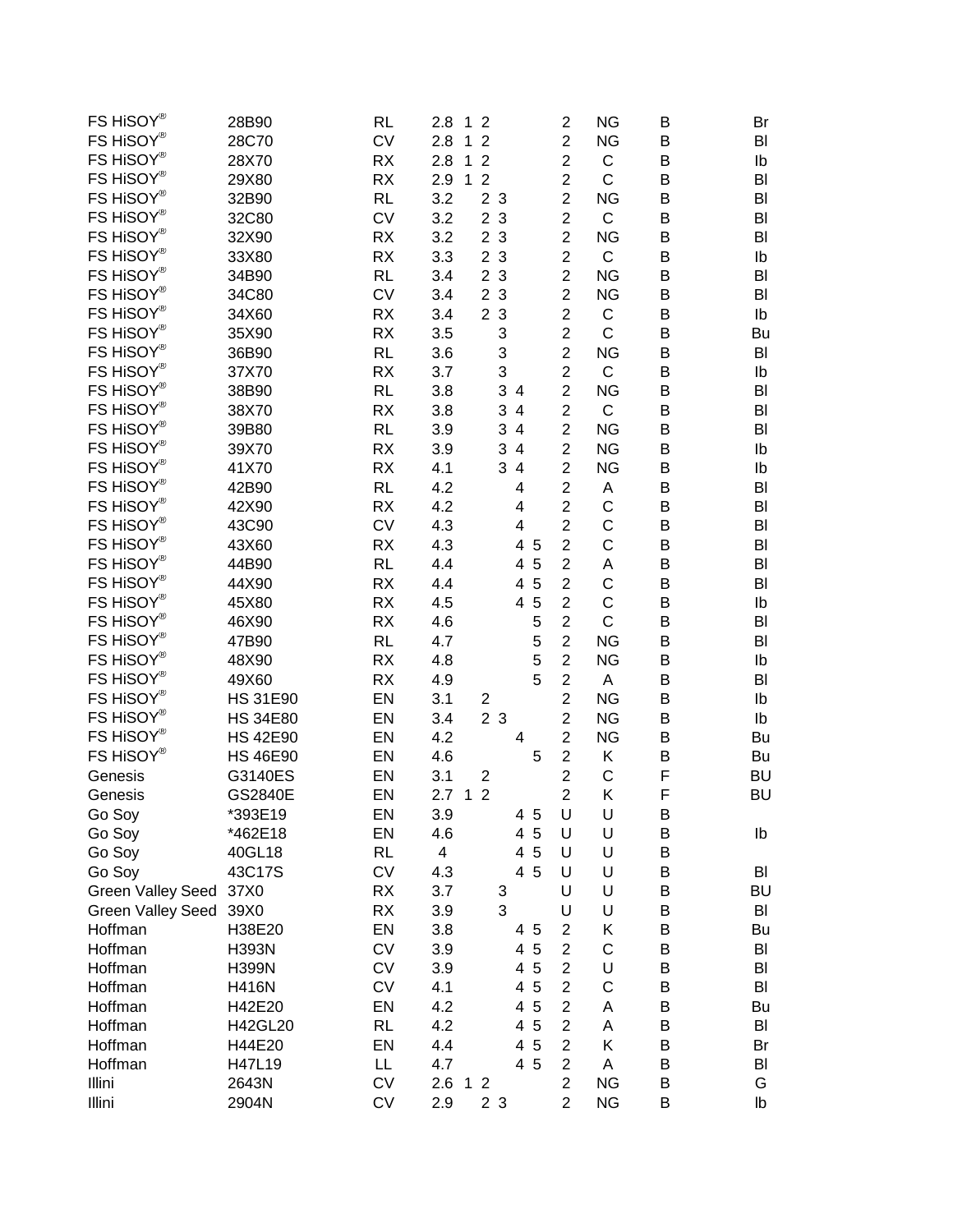| FS HiSOY®                | 28B90                              | <b>RL</b> | 2.8<br>1 <sub>2</sub>                 | 2                       | <b>NG</b>    | B | Br        |
|--------------------------|------------------------------------|-----------|---------------------------------------|-------------------------|--------------|---|-----------|
| FS HiSOY®                | 28C70                              | <b>CV</b> | 2.8<br>$\overline{2}$<br>1            | $\overline{2}$          | <b>NG</b>    | B | BI        |
| FS HiSOY®                | 28X70                              | <b>RX</b> | 2.8<br>$\overline{2}$<br>1            | $\overline{c}$          | C            | B | Ib        |
| FS HiSOY®                | 29X80                              | <b>RX</b> | 2.9<br>$\overline{2}$<br>1            | $\overline{c}$          | C            | B | BI        |
| FS HiSOY®                | 32B90                              | <b>RL</b> | 3.2<br>2 <sub>3</sub>                 | $\overline{2}$          | <b>NG</b>    | B | BI        |
| FS HiSOY®                | 32C80                              | <b>CV</b> | 3.2<br>2 <sub>3</sub>                 | $\overline{c}$          | $\mathsf C$  | B | BI        |
| FS HiSOY®                | 32X90                              | <b>RX</b> | 2 <sub>3</sub><br>3.2                 | $\overline{c}$          | <b>NG</b>    | B | BI        |
| FS HiSOY®                | 33X80                              | <b>RX</b> | 3.3<br>$\overline{2}$<br>$\mathbf{3}$ | $\overline{c}$          | $\mathsf C$  | B | Ib        |
| FS HiSOY®                | 34B90                              | <b>RL</b> | $\overline{2}$<br>3<br>3.4            | $\overline{2}$          | <b>NG</b>    | B | BI        |
| FS HiSOY®                | 34C80                              | <b>CV</b> | 2 <sub>3</sub><br>3.4                 | $\overline{2}$          | <b>NG</b>    | B | BI        |
| FS HiSOY®                | 34X60                              | <b>RX</b> | 2 <sub>3</sub><br>3.4                 | $\overline{c}$          | C            | B | Ib        |
| FS HiSOY®                | 35X90                              | <b>RX</b> | 3<br>3.5                              | $\overline{c}$          | $\mathsf{C}$ | B | Bu        |
| FS HiSOY®                | 36B90                              | <b>RL</b> | 3<br>3.6                              | $\overline{2}$          | <b>NG</b>    | B | BI        |
| FS HiSOY®                | 37X70                              | <b>RX</b> | 3<br>3.7                              | $\overline{c}$          | C            | B | Ib        |
| FS HiSOY®                | 38B90                              | <b>RL</b> | 3<br>3.8<br>4                         | $\overline{2}$          | <b>NG</b>    | Β | BI        |
| FS HiSOY®                | 38X70                              | <b>RX</b> | 3<br>3.8<br>4                         | $\overline{\mathbf{c}}$ | C            | B | BI        |
| FS HiSOY®                | 39B80                              | <b>RL</b> | 3<br>3.9<br>$\overline{4}$            | $\overline{c}$          | <b>NG</b>    | B | BI        |
| FS HiSOY®                | 39X70                              | <b>RX</b> | 3<br>3.9<br>4                         | $\overline{c}$          | <b>NG</b>    | B | Ib        |
| FS HiSOY®                | 41X70                              | <b>RX</b> | 4.1<br>3<br>4                         | $\overline{c}$          | <b>NG</b>    | B | Ib        |
| FS HiSOY®                | 42B90                              | <b>RL</b> | 4.2<br>4                              | 2                       | Α            | B | BI        |
| FS HiSOY®                | 42X90                              | <b>RX</b> | 4.2<br>4                              | $\overline{c}$          | C            | B | BI        |
| FS HiSOY®                | 43C90                              | <b>CV</b> | 4.3<br>4                              | $\overline{\mathbf{c}}$ | C            | B | BI        |
| FS HiSOY®                | 43X60                              | <b>RX</b> | 4.3<br>4<br>5                         | $\overline{c}$          | C            | B | BI        |
| FS HiSOY®                | 44B90                              | <b>RL</b> | 4.4<br>4<br>5                         | $\overline{\mathbf{c}}$ | А            | B | BI        |
| FS HiSOY®                | 44X90                              | RX        | 4.4<br>4<br>5                         | $\overline{c}$          | C            | B | BI        |
| FS HiSOY®                | 45X80                              | <b>RX</b> | 4.5<br>5<br>4                         | $\overline{c}$          | $\mathsf C$  |   | Ib        |
| FS HiSOY®                | 46X90                              | <b>RX</b> | 5                                     | $\overline{c}$          | $\mathsf{C}$ | B |           |
| FS HiSOY®                |                                    |           | 4.6                                   | $\overline{c}$          | <b>NG</b>    | B | BI        |
| FS HiSOY®                | 47B90                              | <b>RL</b> | 5<br>4.7                              |                         |              | B | BI        |
| FS HiSOY®                | 48X90                              | <b>RX</b> | 5<br>4.8<br>5                         | $\overline{c}$          | <b>NG</b>    | B | Ib        |
| FS HiSOY®                | 49X60                              | <b>RX</b> | 4.9                                   | $\overline{c}$          | A            | B | BI        |
| FS HiSOY®                | <b>HS 31E90</b>                    | EN        | 3.1<br>$\mathbf 2$                    | $\overline{c}$          | <b>NG</b>    | Β | Ib        |
| FS HiSOY®                | <b>HS 34E80</b><br><b>HS 42E90</b> | EN        | 2 <sub>3</sub><br>3.4                 | $\overline{2}$          | <b>NG</b>    | B | Ib        |
|                          |                                    | EN        | 4.2<br>4                              | $\overline{\mathbf{c}}$ | <b>NG</b>    | B | Bu        |
| FS HiSOY®                | <b>HS 46E90</b>                    | EN        | 4.6<br>5                              | $\overline{c}$          | Κ            | B | Bu        |
| Genesis                  | G3140ES                            | EN        | 3.1<br>$\overline{c}$                 | $\overline{2}$          | C            | F | <b>BU</b> |
| Genesis                  | GS2840E                            | EN        | 2.7<br>$\overline{2}$<br>$\mathbf{1}$ | $\overline{2}$          | Κ            | F | <b>BU</b> |
| Go Soy                   | *393E19                            | EN        | 3.9<br>4<br>$\overline{5}$            | U                       | U            | B |           |
| Go Soy                   | *462E18                            | EN        | 4<br>5<br>4.6                         | U                       | U            | B | Ib        |
| Go Soy                   | 40GL18                             | <b>RL</b> | 4<br>$\overline{4}$<br>5              | U                       | U            | B |           |
| Go Soy                   | 43C17S                             | <b>CV</b> | $\overline{4}$<br>5<br>4.3            | U                       | U            | B | BI        |
| Green Valley Seed 37X0   |                                    | <b>RX</b> | $3.7\,$<br>3                          | U                       | U            | B | <b>BU</b> |
| <b>Green Valley Seed</b> | 39X0                               | <b>RX</b> | 3<br>3.9                              | U                       | U            | B | BI        |
| Hoffman                  | H38E20                             | EN        | 3.8<br>5<br>4                         | $\overline{2}$          | Κ            | B | Bu        |
| Hoffman                  | <b>H393N</b>                       | CV        | 5<br>3.9<br>4                         | $\overline{c}$          | $\mathsf C$  | B | BI        |
| Hoffman                  | <b>H399N</b>                       | CV        | $\overline{4}$<br>5<br>3.9            | $\overline{c}$          | U            | B | BI        |
| Hoffman                  | <b>H416N</b>                       | CV        | 5<br>4.1<br>4                         | $\overline{c}$          | C            | B | BI        |
| Hoffman                  | H42E20                             | EN        | 5<br>4.2<br>$\overline{4}$            | $\overline{c}$          | Α            | B | Bu        |
| Hoffman                  | H42GL20                            | <b>RL</b> | 5<br>4.2<br>$\overline{4}$            | $\overline{c}$          | Α            | B | BI        |
| Hoffman                  | H44E20                             | EN        | 5<br>4.4<br>4                         | $\overline{c}$          | Κ            | B | Br        |
| Hoffman                  | H47L19                             | LL        | 5<br>4.7<br>$\overline{4}$            | $\overline{c}$          | A            | B | BI        |
| Illini                   | 2643N                              | CV        | 2.6<br>1 <sub>2</sub>                 | $\overline{\mathbf{c}}$ | <b>NG</b>    | B | G         |
| Illini                   | 2904N                              | CV        | 2.9<br>2 3                            | $\overline{c}$          | <b>NG</b>    | B | lb        |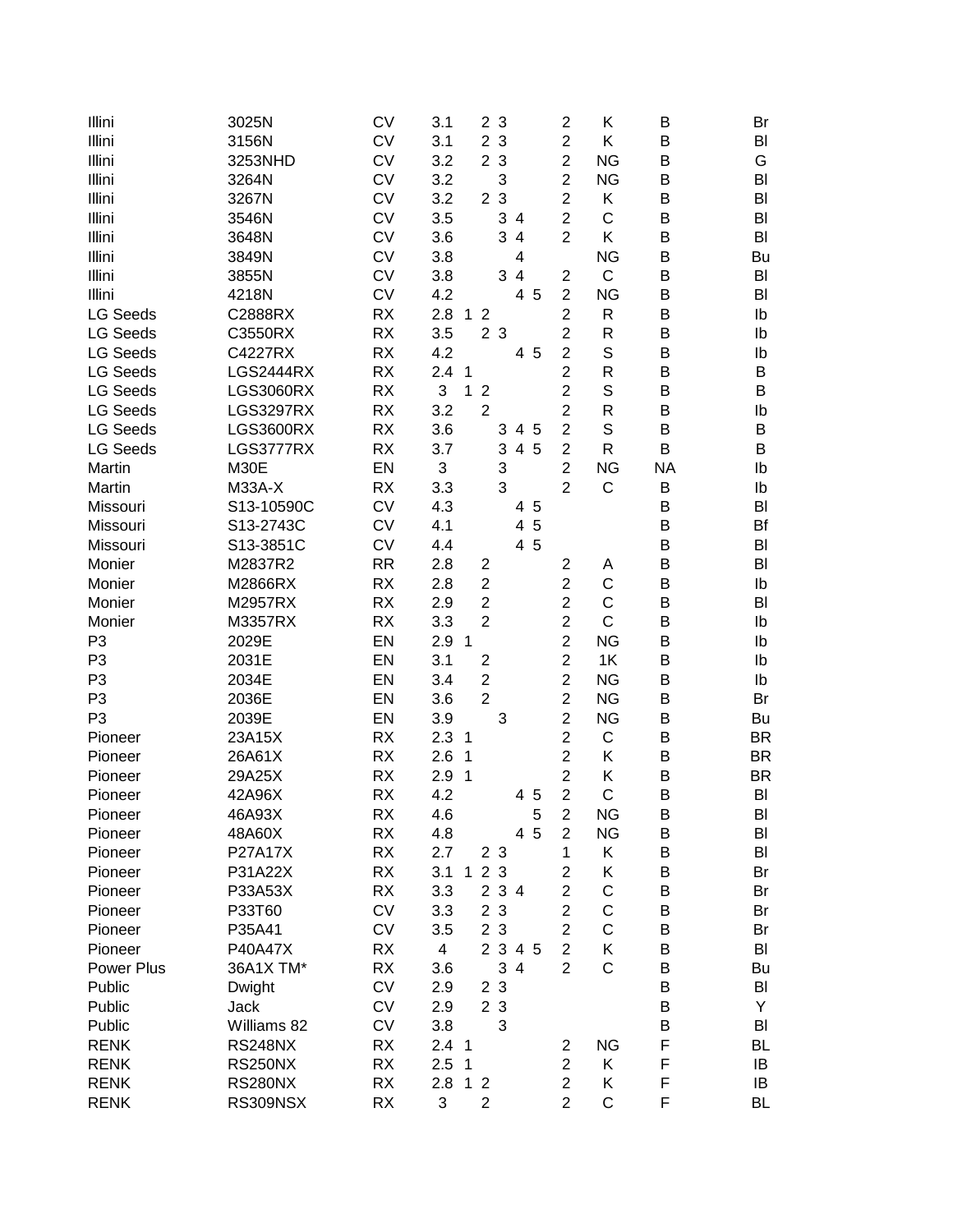| Illini          | 3025N            | <b>CV</b> | 3.1                   | $\overline{2}$<br>3            |     | $\overline{c}$ | Κ            | B         | Br        |
|-----------------|------------------|-----------|-----------------------|--------------------------------|-----|----------------|--------------|-----------|-----------|
| Illini          | 3156N            | <b>CV</b> | 3.1                   | $\mathbf{3}$<br>$\overline{2}$ |     | $\overline{c}$ | K            | B         | BI        |
| Illini          | 3253NHD          | <b>CV</b> | 3.2                   | 2 3                            |     | $\overline{2}$ | <b>NG</b>    | B         | G         |
| Illini          | 3264N            | <b>CV</b> | 3.2                   | 3                              |     | $\overline{c}$ | <b>NG</b>    | B         | BI        |
| Illini          | 3267N            | <b>CV</b> | 3.2                   | 2 <sub>3</sub>                 |     | $\overline{2}$ | Κ            | В         | BI        |
| Illini          | 3546N            | <b>CV</b> | 3.5                   | 3 4                            |     | $\overline{2}$ | C            | B         | BI        |
| Illini          | 3648N            | <b>CV</b> | 3.6                   | 3<br>$\overline{\mathbf{4}}$   |     | $\overline{c}$ | K            | B         | BI        |
| Illini          | 3849N            | <b>CV</b> | 3.8                   | 4                              |     |                | <b>NG</b>    | B         | Bu        |
| Illini          | 3855N            | <b>CV</b> | 3.8                   | 3<br>$\overline{4}$            |     | $\overline{c}$ | $\mathsf C$  | B         | BI        |
| Illini          | 4218N            | <b>CV</b> | 4.2                   | 4                              | 5   | $\overline{2}$ | <b>NG</b>    | B         | BI        |
| <b>LG Seeds</b> | C2888RX          | <b>RX</b> | 2.8<br>$\mathbf{1}$   | $\overline{2}$                 |     | $\overline{c}$ | R            | B         | Ib        |
| <b>LG Seeds</b> | C3550RX          | <b>RX</b> | 3.5                   | 2 3                            |     | $\overline{c}$ | R            | B         |           |
|                 |                  |           |                       |                                |     |                | S            |           | Ib        |
| <b>LG Seeds</b> | C4227RX          | <b>RX</b> | 4.2                   |                                | 4 5 | $\overline{c}$ |              | B         | Ib        |
| <b>LG Seeds</b> | <b>LGS2444RX</b> | <b>RX</b> | 2.4<br>1              |                                |     | $\overline{c}$ | R            | B         | B         |
| <b>LG Seeds</b> | <b>LGS3060RX</b> | <b>RX</b> | 3<br>1                | $\overline{2}$                 |     | $\overline{2}$ | S            | B         | B         |
| <b>LG Seeds</b> | <b>LGS3297RX</b> | <b>RX</b> | 3.2                   | $\overline{2}$                 |     | $\overline{2}$ | R            | B         | Ib        |
| <b>LG Seeds</b> | <b>LGS3600RX</b> | <b>RX</b> | 3.6                   | 3<br>$\overline{4}$            | 5   | $\overline{2}$ | S            | B         | B         |
| <b>LG Seeds</b> | LGS3777RX        | <b>RX</b> | 3.7                   | 3                              | 4 5 | $\overline{2}$ | R            | B         | B         |
| Martin          | M30E             | EN        | 3                     | 3                              |     | $\overline{c}$ | <b>NG</b>    | <b>NA</b> | Ib        |
| Martin          | <b>M33A-X</b>    | <b>RX</b> | 3.3                   | 3                              |     | $\overline{2}$ | C            | B         | Ib        |
| Missouri        | S13-10590C       | <b>CV</b> | 4.3                   |                                | 4 5 |                |              | B         | BI        |
| Missouri        | S13-2743C        | <b>CV</b> | 4.1                   | 4                              | 5   |                |              | B         | Bf        |
| Missouri        | S13-3851C        | <b>CV</b> | 4.4                   |                                | 4 5 |                |              | B         | BI        |
| Monier          | M2837R2          | <b>RR</b> | 2.8                   | $\overline{2}$                 |     | $\overline{c}$ | Α            | B         | BI        |
| Monier          | M2866RX          | <b>RX</b> | 2.8                   | $\overline{2}$                 |     | $\overline{2}$ | C            | B         | Ib        |
| Monier          | M2957RX          | <b>RX</b> | 2.9                   | $\overline{2}$                 |     | $\overline{2}$ | $\mathsf C$  | B         | BI        |
| Monier          | M3357RX          | <b>RX</b> | 3.3                   | $\overline{2}$                 |     | $\overline{2}$ | $\mathsf C$  | B         | Ib        |
| P <sub>3</sub>  | 2029E            | EN        | 2.9<br>$\overline{1}$ |                                |     | $\overline{c}$ | <b>NG</b>    | B         | Ib        |
| P <sub>3</sub>  | 2031E            | EN        | 3.1                   | $\overline{2}$                 |     | $\overline{c}$ | 1K           | B         | Ib        |
| P <sub>3</sub>  | 2034E            | EN        | 3.4                   | $\overline{2}$                 |     | $\overline{2}$ | <b>NG</b>    | B         | Ib        |
| P <sub>3</sub>  | 2036E            | EN        | 3.6                   | $\overline{2}$                 |     | $\overline{2}$ | <b>NG</b>    | B         | Br        |
| P <sub>3</sub>  | 2039E            | EN        | 3.9                   | 3                              |     | $\overline{2}$ | <b>NG</b>    | B         | Bu        |
| Pioneer         | 23A15X           | <b>RX</b> | 2.3<br>1              |                                |     | $\overline{2}$ | $\mathsf C$  | B         | <b>BR</b> |
| Pioneer         | 26A61X           | <b>RX</b> | 2.6<br>1              |                                |     | $\overline{2}$ | Κ            | B         | <b>BR</b> |
| Pioneer         | 29A25X           | <b>RX</b> | 2.9<br>1              |                                |     | $\overline{2}$ | Κ            | B         | <b>BR</b> |
| Pioneer         | 42A96X           | <b>RX</b> | 4.2                   |                                | 4 5 | $\overline{2}$ | C            | В         | BI        |
| Pioneer         | 46A93X           | RX        | 4.6                   |                                | 5   | 2              | <b>NG</b>    | В         | BI        |
| Pioneer         | 48A60X           | <b>RX</b> | 4.8                   |                                | 4 5 | $\overline{c}$ | <b>NG</b>    | Β         | BI        |
| Pioneer         | P27A17X          | <b>RX</b> | 2.7                   | 2 <sub>3</sub>                 |     | 1              | Κ            | B         | BI        |
| Pioneer         | P31A22X          | <b>RX</b> | 3.1                   | 123                            |     | $\overline{c}$ | Κ            | B         | Br        |
| Pioneer         | P33A53X          | <b>RX</b> | 3.3                   | 2 3 4                          |     | $\overline{c}$ | C            | B         | Br        |
| Pioneer         | P33T60           | <b>CV</b> | 3.3                   | 2 3                            |     | $\overline{c}$ | $\mathsf C$  | B         | Br        |
| Pioneer         | P35A41           | <b>CV</b> | 3.5                   | 2 3                            |     | $\overline{2}$ | $\mathsf C$  | B         | Br        |
| Pioneer         | <b>P40A47X</b>   | <b>RX</b> | $\overline{4}$        | 2 3 4 5                        |     | $\overline{2}$ | Κ            | B         | BI        |
| Power Plus      | 36A1X TM*        | <b>RX</b> | 3.6                   | 34                             |     | $\overline{2}$ | $\mathsf{C}$ | B         | Bu        |
| Public          | Dwight           | <b>CV</b> | 2.9                   | 2 3                            |     |                |              | B         | BI        |
| Public          | Jack             | <b>CV</b> | 2.9                   | 2 3                            |     |                |              | B         | Y         |
| Public          | Williams 82      | <b>CV</b> | 3.8                   | 3                              |     |                |              | B         | BI        |
| <b>RENK</b>     | <b>RS248NX</b>   | <b>RX</b> | 2.4 <sub>1</sub>      |                                |     | $\overline{c}$ | <b>NG</b>    | F         | <b>BL</b> |
| <b>RENK</b>     | <b>RS250NX</b>   | <b>RX</b> | 2.5<br>1              |                                |     | $\overline{2}$ | K            | F         | IB        |
| <b>RENK</b>     | <b>RS280NX</b>   | <b>RX</b> | 2.8<br>1              | $\overline{2}$                 |     | $\overline{c}$ | Κ            | F         | IB        |
| <b>RENK</b>     | RS309NSX         | <b>RX</b> | 3                     | $\overline{2}$                 |     | $\overline{2}$ | $\mathsf C$  | F         | BL        |